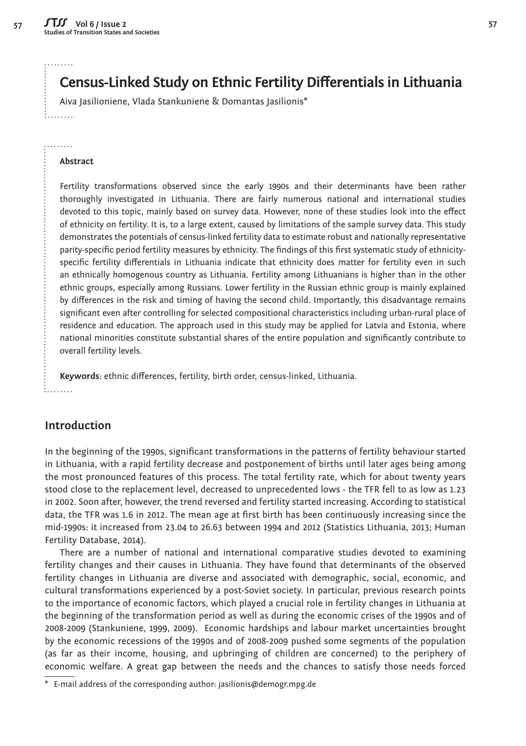. . . . . . . .

1. . . . . . . .

. . . . . . . . .

# **Census-Linked Study on Ethnic Fertility Differentials in Lithuania**

Aiva Jasilioniene, Vlada Stankuniene & Domantas Jasilionis\*

#### **Abstract**

Fertility transformations observed since the early 1990s and their determinants have been rather thoroughly investigated in Lithuania. There are fairly numerous national and international studies devoted to this topic, mainly based on survey data. However, none of these studies look into the effect of ethnicity on fertility. It is, to a large extent, caused by limitations of the sample survey data. This study demonstrates the potentials of census-linked fertility data to estimate robust and nationally representative parity-specific period fertility measures by ethnicity. The findings of this first systematic study of ethnicityspecific fertility differentials in Lithuania indicate that ethnicity does matter for fertility even in such an ethnically homogenous country as Lithuania. Fertility among Lithuanians is higher than in the other ethnic groups, especially among Russians. Lower fertility in the Russian ethnic group is mainly explained by differences in the risk and timing of having the second child. Importantly, this disadvantage remains significant even after controlling for selected compositional characteristics including urban-rural place of residence and education. The approach used in this study may be applied for Latvia and Estonia, where national minorities constitute substantial shares of the entire population and significantly contribute to overall fertility levels.

Keywords: ethnic differences, fertility, birth order, census-linked, Lithuania.

### **Introduction**

In the beginning of the 1990s, significant transformations in the patterns of fertility behaviour started in Lithuania, with a rapid fertility decrease and postponement of births until later ages being among the most pronounced features of this process. The total fertility rate, which for about twenty years stood close to the replacement level, decreased to unprecedented lows - the TFR fell to as low as 1.23 in 2002. Soon after, however, the trend reversed and fertility started increasing. According to statistical data, the TFR was 1.6 in 2012. The mean age at first birth has been continuously increasing since the mid-1990s: it increased from 23.04 to 26.63 between 1994 and 2012 (Statistics Lithuania, 2013; Human Fertility Database, 2014).

There are a number of national and international comparative studies devoted to examining fertility changes and their causes in Lithuania. They have found that determinants of the observed fertility changes in Lithuania are diverse and associated with demographic, social, economic, and cultural transformations experienced by a post-Soviet society. In particular, previous research points to the importance of economic factors, which played a crucial role in fertility changes in Lithuania at the beginning of the transformation period as well as during the economic crises of the 1990s and of 2008-2009 (Stankuniene, 1999, 2009). Economic hardships and labour market uncertainties brought by the economic recessions of the 1990s and of 2008-2009 pushed some segments of the population (as far as their income, housing, and upbringing of children are concerned) to the periphery of economic welfare. A great gap between the needs and the chances to satisfy those needs forced

E-mail address of the corresponding author: jasilionis@demogr.mpg.de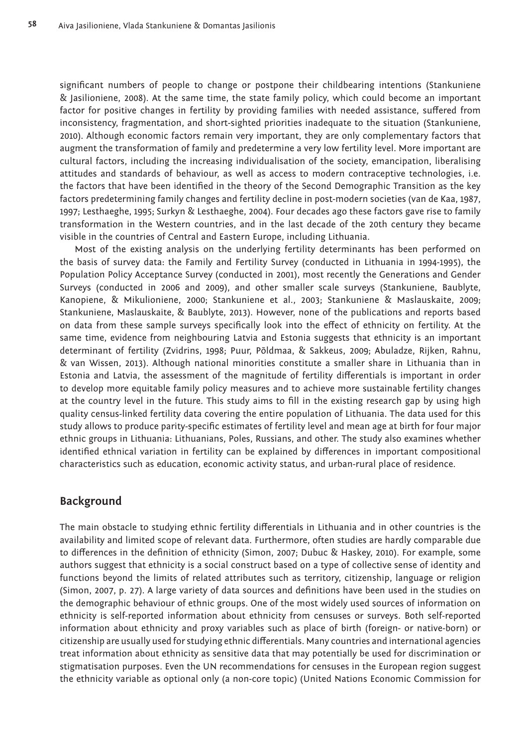significant numbers of people to change or postpone their childbearing intentions (Stankuniene & Jasilioniene, 2008). At the same time, the state family policy, which could become an important factor for positive changes in fertility by providing families with needed assistance, suffered from inconsistency, fragmentation, and short-sighted priorities inadequate to the situation (Stankuniene, 2010). Although economic factors remain very important, they are only complementary factors that augment the transformation of family and predetermine a very low fertility level. More important are cultural factors, including the increasing individualisation of the society, emancipation, liberalising attitudes and standards of behaviour, as well as access to modern contraceptive technologies, i.e. the factors that have been identified in the theory of the Second Demographic Transition as the key factors predetermining family changes and fertility decline in post-modern societies (van de Kaa, 1987, 1997; Lesthaeghe, 1995; Surkyn & Lesthaeghe, 2004). Four decades ago these factors gave rise to family transformation in the Western countries, and in the last decade of the 20th century they became visible in the countries of Central and Eastern Europe, including Lithuania.

Most of the existing analysis on the underlying fertility determinants has been performed on the basis of survey data: the Family and Fertility Survey (conducted in Lithuania in 1994-1995), the Population Policy Acceptance Survey (conducted in 2001), most recently the Generations and Gender Surveys (conducted in 2006 and 2009), and other smaller scale surveys (Stankuniene, Baublyte, Kanopiene, & Mikulioniene, 2000; Stankuniene et al., 2003; Stankuniene & Maslauskaite, 2009; Stankuniene, Maslauskaite, & Baublyte, 2013). However, none of the publications and reports based on data from these sample surveys specifically look into the effect of ethnicity on fertility. At the same time, evidence from neighbouring Latvia and Estonia suggests that ethnicity is an important determinant of fertility (Zvidrins, 1998; Puur, Põldmaa, & Sakkeus, 2009; Abuladze, Rijken, Rahnu, & van Wissen, 2013). Although national minorities constitute a smaller share in Lithuania than in Estonia and Latvia, the assessment of the magnitude of fertility differentials is important in order to develop more equitable family policy measures and to achieve more sustainable fertility changes at the country level in the future. This study aims to fill in the existing research gap by using high quality census-linked fertility data covering the entire population of Lithuania. The data used for this study allows to produce parity-specific estimates of fertility level and mean age at birth for four major ethnic groups in Lithuania: Lithuanians, Poles, Russians, and other. The study also examines whether identified ethnical variation in fertility can be explained by differences in important compositional characteristics such as education, economic activity status, and urban-rural place of residence.

### **Background**

The main obstacle to studying ethnic fertility differentials in Lithuania and in other countries is the availability and limited scope of relevant data. Furthermore, often studies are hardly comparable due to differences in the definition of ethnicity (Simon, 2007; Dubuc & Haskey, 2010). For example, some authors suggest that ethnicity is a social construct based on a type of collective sense of identity and functions beyond the limits of related attributes such as territory, citizenship, language or religion (Simon, 2007, p. 27). A large variety of data sources and definitions have been used in the studies on the demographic behaviour of ethnic groups. One of the most widely used sources of information on ethnicity is self-reported information about ethnicity from censuses or surveys. Both self-reported information about ethnicity and proxy variables such as place of birth (foreign- or native-born) or citizenship are usually used for studying ethnic differentials. Many countries and international agencies treat information about ethnicity as sensitive data that may potentially be used for discrimination or stigmatisation purposes. Even the UN recommendations for censuses in the European region suggest the ethnicity variable as optional only (a non-core topic) (United Nations Economic Commission for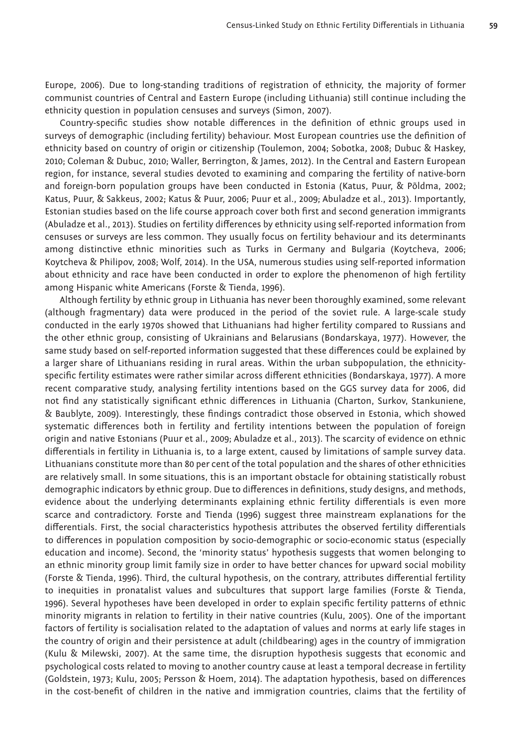Europe, 2006). Due to long-standing traditions of registration of ethnicity, the majority of former communist countries of Central and Eastern Europe (including Lithuania) still continue including the ethnicity question in population censuses and surveys (Simon, 2007).

Country-specific studies show notable differences in the definition of ethnic groups used in surveys of demographic (including fertility) behaviour. Most European countries use the definition of ethnicity based on country of origin or citizenship (Toulemon, 2004; Sobotka, 2008; Dubuc & Haskey, 2010; Coleman & Dubuc, 2010; Waller, Berrington, & James, 2012). In the Central and Eastern European region, for instance, several studies devoted to examining and comparing the fertility of native-born and foreign-born population groups have been conducted in Estonia (Katus, Puur, & Põldma, 2002; Katus, Puur, & Sakkeus, 2002; Katus & Puur, 2006; Puur et al., 2009; Abuladze et al., 2013). Importantly, Estonian studies based on the life course approach cover both first and second generation immigrants (Abuladze et al., 2013). Studies on fertility differences by ethnicity using self-reported information from censuses or surveys are less common. They usually focus on fertility behaviour and its determinants among distinctive ethnic minorities such as Turks in Germany and Bulgaria (Koytcheva, 2006; Koytcheva & Philipov, 2008; Wolf, 2014). In the USA, numerous studies using self-reported information about ethnicity and race have been conducted in order to explore the phenomenon of high fertility among Hispanic white Americans (Forste & Tienda, 1996).

Although fertility by ethnic group in Lithuania has never been thoroughly examined, some relevant (although fragmentary) data were produced in the period of the soviet rule. A large-scale study conducted in the early 1970s showed that Lithuanians had higher fertility compared to Russians and the other ethnic group, consisting of Ukrainians and Belarusians (Bondarskaya, 1977). However, the same study based on self-reported information suggested that these differences could be explained by a larger share of Lithuanians residing in rural areas. Within the urban subpopulation, the ethnicityspecific fertility estimates were rather similar across different ethnicities (Bondarskaya, 1977). A more recent comparative study, analysing fertility intentions based on the GGS survey data for 2006, did not find any statistically significant ethnic differences in Lithuania (Charton, Surkov, Stankuniene, & Baublyte, 2009). Interestingly, these findings contradict those observed in Estonia, which showed systematic differences both in fertility and fertility intentions between the population of foreign origin and native Estonians (Puur et al., 2009; Abuladze et al., 2013). The scarcity of evidence on ethnic differentials in fertility in Lithuania is, to a large extent, caused by limitations of sample survey data. Lithuanians constitute more than 80 per cent of the total population and the shares of other ethnicities are relatively small. In some situations, this is an important obstacle for obtaining statistically robust demographic indicators by ethnic group. Due to differences in definitions, study designs, and methods, evidence about the underlying determinants explaining ethnic fertility differentials is even more scarce and contradictory. Forste and Tienda (1996) suggest three mainstream explanations for the differentials. First, the social characteristics hypothesis attributes the observed fertility differentials to differences in population composition by socio-demographic or socio-economic status (especially education and income). Second, the 'minority status' hypothesis suggests that women belonging to an ethnic minority group limit family size in order to have better chances for upward social mobility (Forste & Tienda, 1996). Third, the cultural hypothesis, on the contrary, attributes differential fertility to inequities in pronatalist values and subcultures that support large families (Forste & Tienda, 1996). Several hypotheses have been developed in order to explain specific fertility patterns of ethnic minority migrants in relation to fertility in their native countries (Kulu, 2005). One of the important factors of fertility is socialisation related to the adaptation of values and norms at early life stages in the country of origin and their persistence at adult (childbearing) ages in the country of immigration (Kulu & Milewski, 2007). At the same time, the disruption hypothesis suggests that economic and psychological costs related to moving to another country cause at least a temporal decrease in fertility (Goldstein, 1973; Kulu, 2005; Persson & Hoem, 2014). The adaptation hypothesis, based on differences in the cost-benefit of children in the native and immigration countries, claims that the fertility of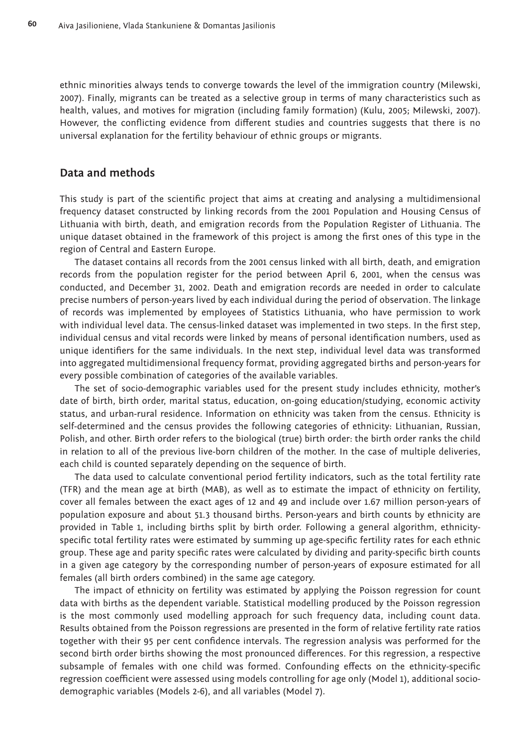ethnic minorities always tends to converge towards the level of the immigration country (Milewski, 2007). Finally, migrants can be treated as a selective group in terms of many characteristics such as health, values, and motives for migration (including family formation) (Kulu, 2005; Milewski, 2007). However, the conflicting evidence from different studies and countries suggests that there is no universal explanation for the fertility behaviour of ethnic groups or migrants.

### **Data and methods**

This study is part of the scientific project that aims at creating and analysing a multidimensional frequency dataset constructed by linking records from the 2001 Population and Housing Census of Lithuania with birth, death, and emigration records from the Population Register of Lithuania. The unique dataset obtained in the framework of this project is among the first ones of this type in the region of Central and Eastern Europe.

The dataset contains all records from the 2001 census linked with all birth, death, and emigration records from the population register for the period between April 6, 2001, when the census was conducted, and December 31, 2002. Death and emigration records are needed in order to calculate precise numbers of person-years lived by each individual during the period of observation. The linkage of records was implemented by employees of Statistics Lithuania, who have permission to work with individual level data. The census-linked dataset was implemented in two steps. In the first step, individual census and vital records were linked by means of personal identification numbers, used as unique identifiers for the same individuals. In the next step, individual level data was transformed into aggregated multidimensional frequency format, providing aggregated births and person-years for every possible combination of categories of the available variables.

The set of socio-demographic variables used for the present study includes ethnicity, mother's date of birth, birth order, marital status, education, on-going education/studying, economic activity status, and urban-rural residence. Information on ethnicity was taken from the census. Ethnicity is self-determined and the census provides the following categories of ethnicity: Lithuanian, Russian, Polish, and other. Birth order refers to the biological (true) birth order: the birth order ranks the child in relation to all of the previous live-born children of the mother. In the case of multiple deliveries, each child is counted separately depending on the sequence of birth.

The data used to calculate conventional period fertility indicators, such as the total fertility rate (TFR) and the mean age at birth (MAB), as well as to estimate the impact of ethnicity on fertility, cover all females between the exact ages of 12 and 49 and include over 1.67 million person-years of population exposure and about 51.3 thousand births. Person-years and birth counts by ethnicity are provided in Table 1, including births split by birth order. Following a general algorithm, ethnicityspecific total fertility rates were estimated by summing up age-specific fertility rates for each ethnic group. These age and parity specific rates were calculated by dividing and parity-specific birth counts in a given age category by the corresponding number of person-years of exposure estimated for all females (all birth orders combined) in the same age category.

The impact of ethnicity on fertility was estimated by applying the Poisson regression for count data with births as the dependent variable. Statistical modelling produced by the Poisson regression is the most commonly used modelling approach for such frequency data, including count data. Results obtained from the Poisson regressions are presented in the form of relative fertility rate ratios together with their 95 per cent confidence intervals. The regression analysis was performed for the second birth order births showing the most pronounced differences. For this regression, a respective subsample of females with one child was formed. Confounding effects on the ethnicity-specific regression coefficient were assessed using models controlling for age only (Model 1), additional sociodemographic variables (Models 2-6), and all variables (Model 7).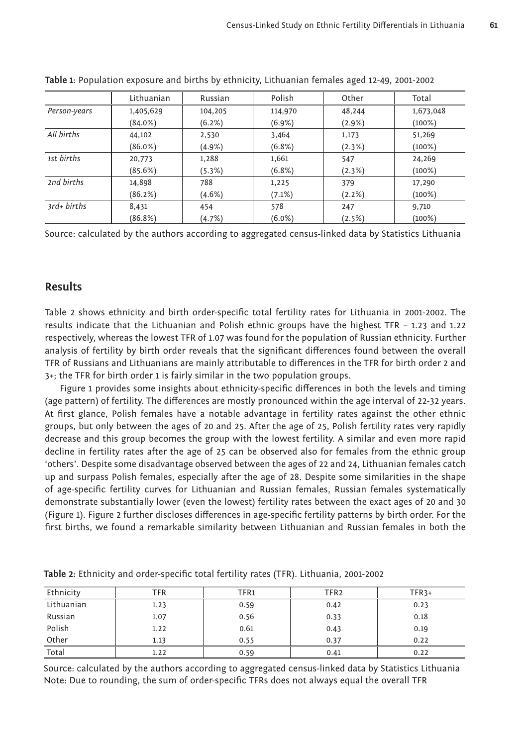|              | Lithuanian | Russian   | Polish    | Other     | Total     |
|--------------|------------|-----------|-----------|-----------|-----------|
| Person-years | 1,405,629  | 104,205   | 114,970   | 48,244    | 1,673,048 |
|              | $(84.0\%)$ | $(6.2\%)$ | $(6.9\%)$ | $(2.9\%)$ | $(100\%)$ |
| All births   | 44,102     | 2,530     | 3,464     | 1,173     | 51,269    |
|              | $(86.0\%)$ | $(4.9\%)$ | $(6.8\%)$ | (2.3%)    | $(100\%)$ |
| 1st births   | 20,773     | 1,288     | 1,661     | 547       | 24,269    |
|              | (85.6%)    | (5.3%)    | (6.8%)    | (2.3%)    | $(100\%)$ |
| 2nd births   | 14,898     | 788       | 1,225     | 379       | 17,290    |
|              | (86.2%)    | $(4.6\%)$ | $(7.1\%)$ | (2.2%)    | $(100\%)$ |
| $3rd+births$ | 8,431      | 454       | 578       | 247       | 9,710     |
|              | (86.8%)    | (4.7%)    | $(6.0\%)$ | (2.5%)    | $(100\%)$ |

**Table 1**: Population exposure and births by ethnicity, Lithuanian females aged 12-49, 2001-2002

Source: calculated by the authors according to aggregated census-linked data by Statistics Lithuania

## **Results**

Table 2 shows ethnicity and birth order-specific total fertility rates for Lithuania in 2001-2002. The results indicate that the Lithuanian and Polish ethnic groups have the highest TFR – 1.23 and 1.22 respectively, whereas the lowest TFR of 1.07 was found for the population of Russian ethnicity. Further analysis of fertility by birth order reveals that the significant differences found between the overall TFR of Russians and Lithuanians are mainly attributable to differences in the TFR for birth order 2 and 3+; the TFR for birth order 1 is fairly similar in the two population groups.

Figure 1 provides some insights about ethnicity-specific differences in both the levels and timing (age pattern) of fertility. The differences are mostly pronounced within the age interval of 22-32 years. At first glance, Polish females have a notable advantage in fertility rates against the other ethnic groups, but only between the ages of 20 and 25. After the age of 25, Polish fertility rates very rapidly decrease and this group becomes the group with the lowest fertility. A similar and even more rapid decline in fertility rates after the age of 25 can be observed also for females from the ethnic group 'others'. Despite some disadvantage observed between the ages of 22 and 24, Lithuanian females catch up and surpass Polish females, especially after the age of 28. Despite some similarities in the shape of age-specific fertility curves for Lithuanian and Russian females, Russian females systematically demonstrate substantially lower (even the lowest) fertility rates between the exact ages of 20 and 30 (Figure 1). Figure 2 further discloses differences in age-specific fertility patterns by birth order. For the first births, we found a remarkable similarity between Lithuanian and Russian females in both the

| Ethnicity               | TFR  | TFR1 | TFR <sub>2</sub> | $TFR3+$ |
|-------------------------|------|------|------------------|---------|
| Lithuanian              | 1.23 | 0.59 | 0.42             | 0.23    |
| Russian                 | 1.07 | 0.56 | 0.33             | 0.18    |
| Polish                  | 1.22 | 0.61 | 0.43             | 0.19    |
| Other<br><b>Service</b> | 1.13 | 0.55 | 0.37             | 0.22    |
| Total                   | 1.22 | 0.59 | 0.41             | 0.22    |

Table 2: Ethnicity and order-specific total fertility rates (TFR). Lithuania, 2001-2002

Source: calculated by the authors according to aggregated census-linked data by Statistics Lithuania Note: Due to rounding, the sum of order-specific TFRs does not always equal the overall TFR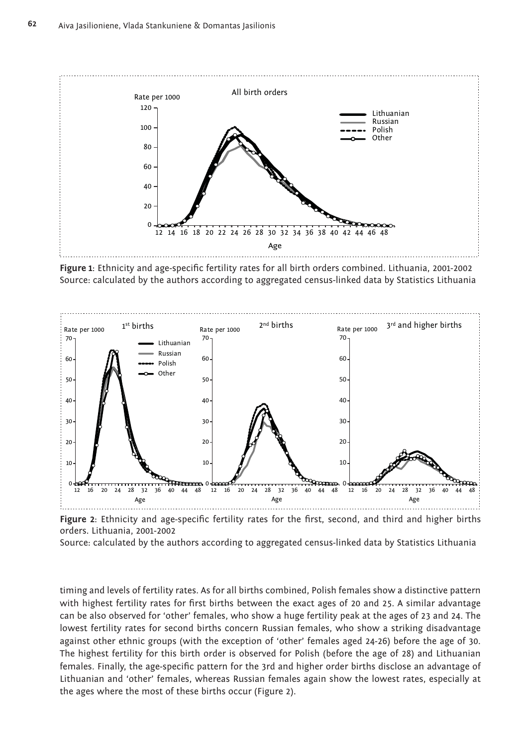

Figure 1: Ethnicity and age-specific fertility rates for all birth orders combined. Lithuania, 2001-2002 Source: calculated by the authors according to aggregated census-linked data by Statistics Lithuania



Figure 2: Ethnicity and age-specific fertility rates for the first, second, and third and higher births orders. Lithuania, 2001-2002

Source: calculated by the authors according to aggregated census-linked data by Statistics Lithuania

timing and levels of fertility rates. As for all births combined, Polish females show a distinctive pattern with highest fertility rates for first births between the exact ages of 20 and 25. A similar advantage can be also observed for 'other' females, who show a huge fertility peak at the ages of 23 and 24. The lowest fertility rates for second births concern Russian females, who show a striking disadvantage against other ethnic groups (with the exception of 'other' females aged 24-26) before the age of 30. The highest fertility for this birth order is observed for Polish (before the age of 28) and Lithuanian females. Finally, the age-specific pattern for the 3rd and higher order births disclose an advantage of Lithuanian and 'other' females, whereas Russian females again show the lowest rates, especially at the ages where the most of these births occur (Figure 2).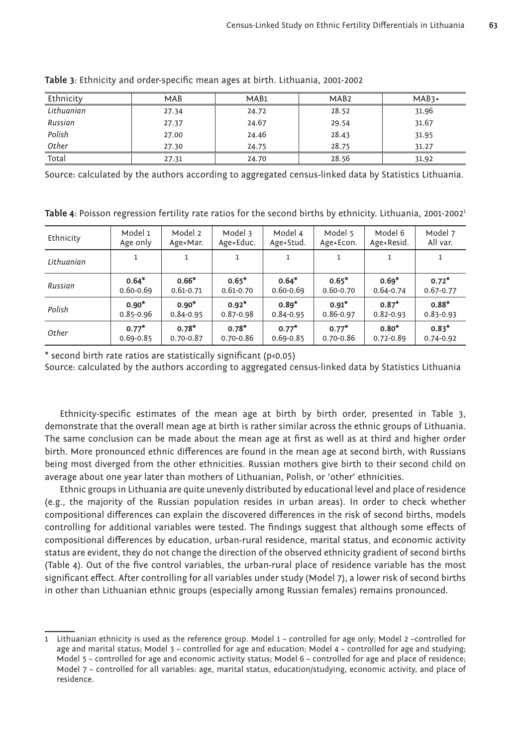| Ethnicity  | <b>MAB</b> | MA <sub>B1</sub> | MAB <sub>2</sub> | $MAB3+$ |
|------------|------------|------------------|------------------|---------|
| Lithuanian | 27.34      | 24.72            | 28.52            | 31.96   |
| Russian    | 27.37      | 24.67            | 29.54            | 31.67   |
| Polish     | 27.00      | 24.46            | 28.43            | 31.95   |
| Other      | 27.30      | 24.75            | 28.75            | 31.27   |
| Total      | 27.31      | 24.70            | 28.56            | 31.92   |

Table 3: Ethnicity and order-specific mean ages at birth. Lithuania, 2001-2002

Source: calculated by the authors according to aggregated census-linked data by Statistics Lithuania.

Table 4: Poisson regression fertility rate ratios for the second births by ethnicity. Lithuania, 2001-2002<sup>1</sup>

| Ethnicity  | Model 1       | Model 2       | Model 3       | Model 4       | Model 5       | Model 6       | Model 7       |
|------------|---------------|---------------|---------------|---------------|---------------|---------------|---------------|
|            | Age only      | Age+Mar.      | Age+Educ.     | Age+Stud.     | Age+Econ.     | Age+Resid.    | All var.      |
| Lithuanian |               |               |               |               |               |               |               |
| Russian    | $0.64*$       | $0.66*$       | $0.65*$       | $0.64*$       | $0.65*$       | $0.69*$       | $0.72*$       |
|            | $0.60 - 0.69$ | $0.61 - 0.71$ | $0.61 - 0.70$ | $0.60 - 0.69$ | $0.60 - 0.70$ | $0.64 - 0.74$ | $0.67 - 0.77$ |
| Polish     | $0.90*$       | $0.90*$       | $0.92*$       | $0.89*$       | $0.91*$       | $0.87*$       | $0.88*$       |
|            | $0.85 - 0.96$ | $0.84 - 0.95$ | $0.87 - 0.98$ | $0.84 - 0.95$ | 0.86-0.97     | $0.82 - 0.93$ | $0.83 - 0.93$ |
| Other      | $0.77*$       | $0.78*$       | $0.78*$       | $0.77*$       | $0.77*$       | $0.80*$       | $0.83*$       |
|            | $0.69 - 0.85$ | $0.70 - 0.87$ | $0.70 - 0.86$ | $0.69 - 0.85$ | $0.70 - 0.86$ | $0.72 - 0.89$ | $0.74 - 0.92$ |

 $*$  second birth rate ratios are statistically significant (p<0.05)

Source: calculated by the authors according to aggregated census-linked data by Statistics Lithuania

Ethnicity-specific estimates of the mean age at birth by birth order, presented in Table 3, demonstrate that the overall mean age at birth is rather similar across the ethnic groups of Lithuania. The same conclusion can be made about the mean age at first as well as at third and higher order birth. More pronounced ethnic differences are found in the mean age at second birth, with Russians being most diverged from the other ethnicities. Russian mothers give birth to their second child on average about one year later than mothers of Lithuanian, Polish, or 'other' ethnicities.

Ethnic groups in Lithuania are quite unevenly distributed by educational level and place of residence (e.g., the majority of the Russian population resides in urban areas). In order to check whether compositional differences can explain the discovered differences in the risk of second births, models controlling for additional variables were tested. The findings suggest that although some effects of compositional differences by education, urban-rural residence, marital status, and economic activity status are evident, they do not change the direction of the observed ethnicity gradient of second births (Table 4). Out of the five control variables, the urban-rural place of residence variable has the most significant effect. After controlling for all variables under study (Model 7), a lower risk of second births in other than Lithuanian ethnic groups (especially among Russian females) remains pronounced.

<sup>1</sup> Lithuanian ethnicity is used as the reference group. Model 1 – controlled for age only; Model 2 –controlled for age and marital status; Model 3 – controlled for age and education; Model 4 – controlled for age and studying; Model 5 – controlled for age and economic activity status; Model 6 – controlled for age and place of residence; Model 7 – controlled for all variables: age, marital status, education/studying, economic activity, and place of residence.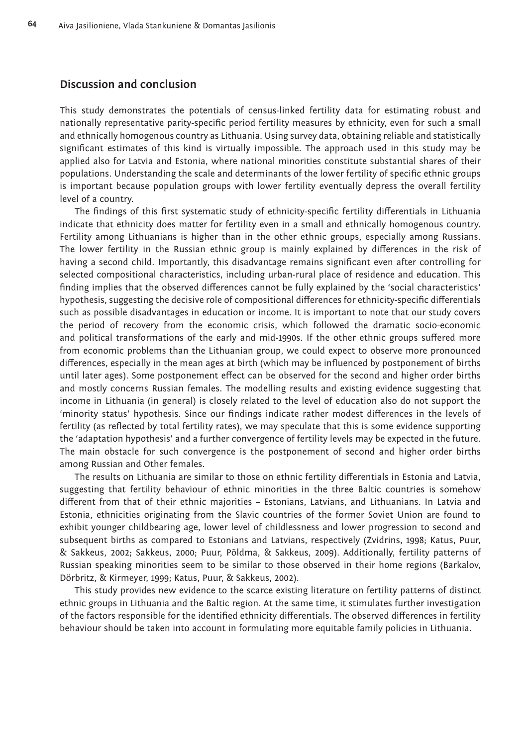### **Discussion and conclusion**

This study demonstrates the potentials of census-linked fertility data for estimating robust and nationally representative parity-specific period fertility measures by ethnicity, even for such a small and ethnically homogenous country as Lithuania. Using survey data, obtaining reliable and statistically significant estimates of this kind is virtually impossible. The approach used in this study may be applied also for Latvia and Estonia, where national minorities constitute substantial shares of their populations. Understanding the scale and determinants of the lower fertility of specific ethnic groups is important because population groups with lower fertility eventually depress the overall fertility level of a country.

The findings of this first systematic study of ethnicity-specific fertility differentials in Lithuania indicate that ethnicity does matter for fertility even in a small and ethnically homogenous country. Fertility among Lithuanians is higher than in the other ethnic groups, especially among Russians. The lower fertility in the Russian ethnic group is mainly explained by differences in the risk of having a second child. Importantly, this disadvantage remains significant even after controlling for selected compositional characteristics, including urban-rural place of residence and education. This finding implies that the observed differences cannot be fully explained by the 'social characteristics' hypothesis, suggesting the decisive role of compositional differences for ethnicity-specific differentials such as possible disadvantages in education or income. It is important to note that our study covers the period of recovery from the economic crisis, which followed the dramatic socio-economic and political transformations of the early and mid-1990s. If the other ethnic groups suffered more from economic problems than the Lithuanian group, we could expect to observe more pronounced differences, especially in the mean ages at birth (which may be influenced by postponement of births until later ages). Some postponement effect can be observed for the second and higher order births and mostly concerns Russian females. The modelling results and existing evidence suggesting that income in Lithuania (in general) is closely related to the level of education also do not support the 'minority status' hypothesis. Since our findings indicate rather modest differences in the levels of fertility (as reflected by total fertility rates), we may speculate that this is some evidence supporting the 'adaptation hypothesis' and a further convergence of fertility levels may be expected in the future. The main obstacle for such convergence is the postponement of second and higher order births among Russian and Other females.

The results on Lithuania are similar to those on ethnic fertility differentials in Estonia and Latvia, suggesting that fertility behaviour of ethnic minorities in the three Baltic countries is somehow different from that of their ethnic majorities - Estonians, Latvians, and Lithuanians. In Latvia and Estonia, ethnicities originating from the Slavic countries of the former Soviet Union are found to exhibit younger childbearing age, lower level of childlessness and lower progression to second and subsequent births as compared to Estonians and Latvians, respectively (Zvidrins, 1998; Katus, Puur, & Sakkeus, 2002; Sakkeus, 2000; Puur, Põldma, & Sakkeus, 2009). Additionally, fertility patterns of Russian speaking minorities seem to be similar to those observed in their home regions (Barkalov, Dörbritz, & Kirmeyer, 1999; Katus, Puur, & Sakkeus, 2002).

This study provides new evidence to the scarce existing literature on fertility patterns of distinct ethnic groups in Lithuania and the Baltic region. At the same time, it stimulates further investigation of the factors responsible for the identified ethnicity differentials. The observed differences in fertility behaviour should be taken into account in formulating more equitable family policies in Lithuania.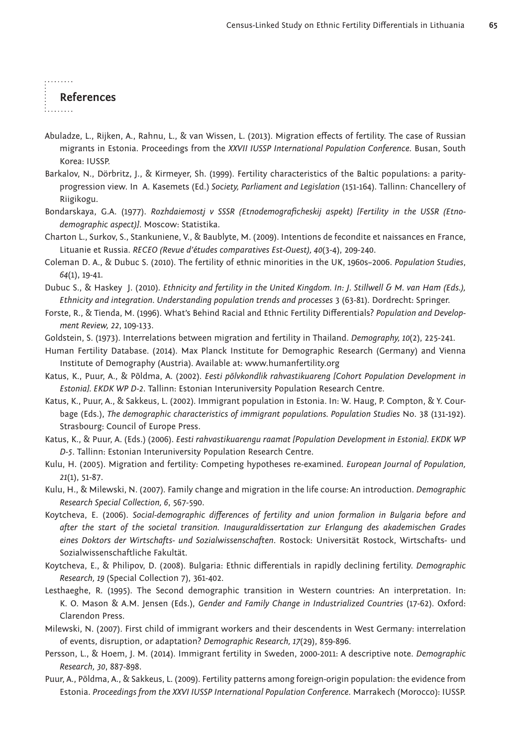## **References**

. . . . . . . . .

- Abuladze, L., Rijken, A., Rahnu, L., & van Wissen, L. (2013). Migration effects of fertility. The case of Russian migrants in Estonia. Proceedings from the *XXVII IUSSP International Population Conference*. Busan, South Korea: IUSSP.
- Barkalov, N., Dörbritz, J., & Kirmeyer, Sh. (1999). Fertility characteristics of the Baltic populations: a parityprogression view. In A. Kasemets (Ed.) *Society, Parliament and Legislation* (151-164). Tallinn: Chancellery of Riigikogu.
- Bondarskaya, G.A. (1977). *Rozhdaiemostj v SSSR (Etnodemograficheskij aspekt) [Fertility in the USSR (Etnodemographic aspect)]*. Moscow: Statistika.
- Charton L., Surkov, S., Stankuniene, V., & Baublyte, M. (2009). Intentions de fecondite et naissances en France, Lituanie et Russia. *RECEO (Revue d'études comparatives Est-Ouest), 40*(3-4), 209-240.

Coleman D. A., & Dubuc S. (2010). The fertility of ethnic minorities in the UK, 1960s–2006. *Population Studies*, *64*(1), 19-41.

- Dubuc S., & Haskey J. (2010). *Ethnicity and fertility in the United Kingdom. In: J. Stillwell & M. van Ham (Eds.), Ethnicity and integration. Understanding population trends and processes* 3 (63-81). Dordrecht: Springer.
- Forste, R., & Tienda, M. (1996). What's Behind Racial and Ethnic Fertility Differentials? *Population and Development Review, 22*, 109-133.

Goldstein, S. (1973). Interrelations between migration and fertility in Thailand. *Demography, 10*(2), 225-241.

- Human Fertility Database. (2014). Max Planck Institute for Demographic Research (Germany) and Vienna Institute of Demography (Austria). Available at: www.humanfertility.org
- Katus, K., Puur, A., & Põldma, A. (2002). *Eesti põlvkondlik rahvastikuareng [Cohort Population Development in Estonia]. EKDK WP D-2*. Tallinn: Estonian Interuniversity Population Research Centre.
- Katus, K., Puur, A., & Sakkeus, L. (2002). Immigrant population in Estonia. In: W. Haug, P. Compton, & Y. Courbage (Eds.), *The demographic characteristics of immigrant populations. Population Studies* No. 38 (131-192). Strasbourg: Council of Europe Press.

Katus, K., & Puur, A. (Eds.) (2006). *Eesti rahvastikuarengu raamat [Population Development in Estonia]. EKDK WP D-5*. Tallinn: Estonian Interuniversity Population Research Centre.

- Kulu, H. (2005). Migration and fertility: Competing hypotheses re-examined. *European Journal of Population, 21*(1), 51-87.
- Kulu, H., & Milewski, N. (2007). Family change and migration in the life course: An introduction. *Demographic Research Special Collection, 6*, 567-590.
- Koytcheva, E. (2006). Social-demographic differences of fertility and union formalion in Bulgaria before and *after the start of the societal transition. Inauguraldissertation zur Erlangung des akademischen Grades eines Doktors der Wirtschafts- und Sozialwissenschaften*. Rostock: Universität Rostock, Wirtschafts- und Sozialwissenschaftliche Fakultät.
- Koytcheva, E., & Philipov, D. (2008). Bulgaria: Ethnic diff erentials in rapidly declining fertility. *Demographic Research, 19* (Special Collection 7), 361-402.
- Lesthaeghe, R. (1995). The Second demographic transition in Western countries: An interpretation. In: K. O. Mason & A.M. Jensen (Eds.), *Gender and Family Change in Industrialized Countries* (17-62). Oxford: Clarendon Press.
- Milewski, N. (2007). First child of immigrant workers and their descendents in West Germany: interrelation of events, disruption, or adaptation? *Demographic Research, 17*(29), 859-896.
- Persson, L., & Hoem, J. M. (2014). Immigrant fertility in Sweden, 2000-2011: A descriptive note. *Demographic Research, 30*, 887-898.
- Puur, A., Põldma, A., & Sakkeus, L. (2009). Fertility patterns among foreign-origin population: the evidence from Estonia. *Proceedings from the XXVI IUSSP International Population Conference*. Marrakech (Morocco): IUSSP.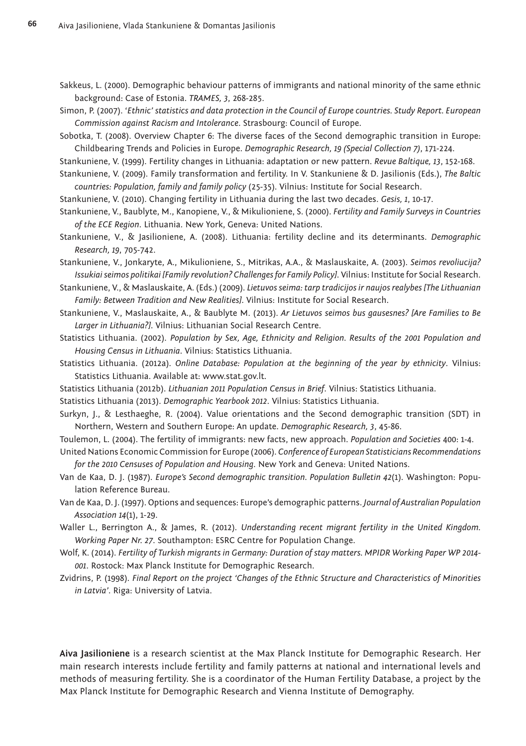- Sakkeus, L. (2000). Demographic behaviour patterns of immigrants and national minority of the same ethnic background: Case of Estonia. *TRAMES, 3*, 268-285.
- Simon, P. (2007). '*Ethnic' statistics and data protection in the Council of Europe countries. Study Report. European Commission against Racism and Intolerance*. Strasbourg: Council of Europe.
- Sobotka, T. (2008). Overview Chapter 6: The diverse faces of the Second demographic transition in Europe: Childbearing Trends and Policies in Europe. *Demographic Research, 19 (Special Collection 7)*, 171-224.
- Stankuniene, V. (1999). Fertility changes in Lithuania: adaptation or new pattern. *Revue Baltique, 13*, 152-168.
- Stankuniene, V. (2009). Family transformation and fertility. In V. Stankuniene & D. Jasilionis (Eds.), *The Baltic countries: Population, family and family policy* (25-35). Vilnius: Institute for Social Research.
- Stankuniene, V. (2010). Changing fertility in Lithuania during the last two decades. *Gesis, 1*, 10-17.
- Stankuniene, V., Baublyte, M., Kanopiene, V., & Mikulioniene, S. (2000). *Fertility and Family Surveys in Countries of the ECE Region*. Lithuania. New York, Geneva: United Nations.
- Stankuniene, V., & Jasilioniene, A. (2008). Lithuania: fertility decline and its determinants. *Demographic Research, 19*, 705-742.
- Stankuniene, V., Jonkaryte, A., Mikulioniene, S., Mitrikas, A.A., & Maslauskaite, A. (2003). *Seimos revoliucija? Issukiai seimos politikai [Family revolution? Challenges for Family Policy]*. Vilnius: Institute for Social Research.
- Stankuniene, V., & Maslauskaite, A. (Eds.) (2009). *Lietuvos seima: tarp tradicijos ir naujos realybes [The Lithuanian Family: Between Tradition and New Realities]*. Vilnius: Institute for Social Research.
- Stankuniene, V., Maslauskaite, A., & Baublyte M. (2013). *Ar Lietuvos seimos bus gausesnes? [Are Families to Be Larger in Lithuania?]*. Vilnius: Lithuanian Social Research Centre.
- Statistics Lithuania. (2002). *Population by Sex, Age, Ethnicity and Religion. Results of the 2001 Population and Housing Census in Lithuania*. Vilnius: Statistics Lithuania.
- Statistics Lithuania. (2012a). *Online Database: Population at the beginning of the year by ethnicity*. Vilnius: Statistics Lithuania. Available at: www.stat.gov.lt.
- Statistics Lithuania (2012b). *Lithuanian 2011 Population Census in Brief*. Vilnius: Statistics Lithuania.
- Statistics Lithuania (2013). *Demographic Yearbook 2012*. Vilnius: Statistics Lithuania.
- Surkyn, J., & Lesthaeghe, R. (2004). Value orientations and the Second demographic transition (SDT) in Northern, Western and Southern Europe: An update. *Demographic Research, 3*, 45-86.
- Toulemon, L. (2004). The fertility of immigrants: new facts, new approach. *Population and Societies* 400: 1-4.
- United Nations Economic Commission for Europe (2006). *Conference of European Statisticians Recommendations for the 2010 Censuses of Population and Housing*. New York and Geneva: United Nations.
- Van de Kaa, D. J. (1987). *Europe's Second demographic transition. Population Bulletin 42*(1). Washington: Population Reference Bureau.
- Van de Kaa, D. J. (1997). Options and sequences: Europe's demographic patterns. *Journal of Australian Population Association 14*(1), 1-29.
- Waller L., Berrington A., & James, R. (2012). *Understanding recent migrant fertility in the United Kingdom. Working Paper Nr. 27*. Southampton: ESRC Centre for Population Change.
- Wolf, K. (2014). *Fertility of Turkish migrants in Germany: Duration of stay matters. MPIDR Working Paper WP 2014- 001*. Rostock: Max Planck Institute for Demographic Research.
- Zvidrins, P. (1998). *Final Report on the project 'Changes of the Ethnic Structure and Characteristics of Minorities in Latvia'*. Riga: University of Latvia.

**Aiva Jasilioniene** is a research scientist at the Max Planck Institute for Demographic Research. Her main research interests include fertility and family patterns at national and international levels and methods of measuring fertility. She is a coordinator of the Human Fertility Database, a project by the Max Planck Institute for Demographic Research and Vienna Institute of Demography.